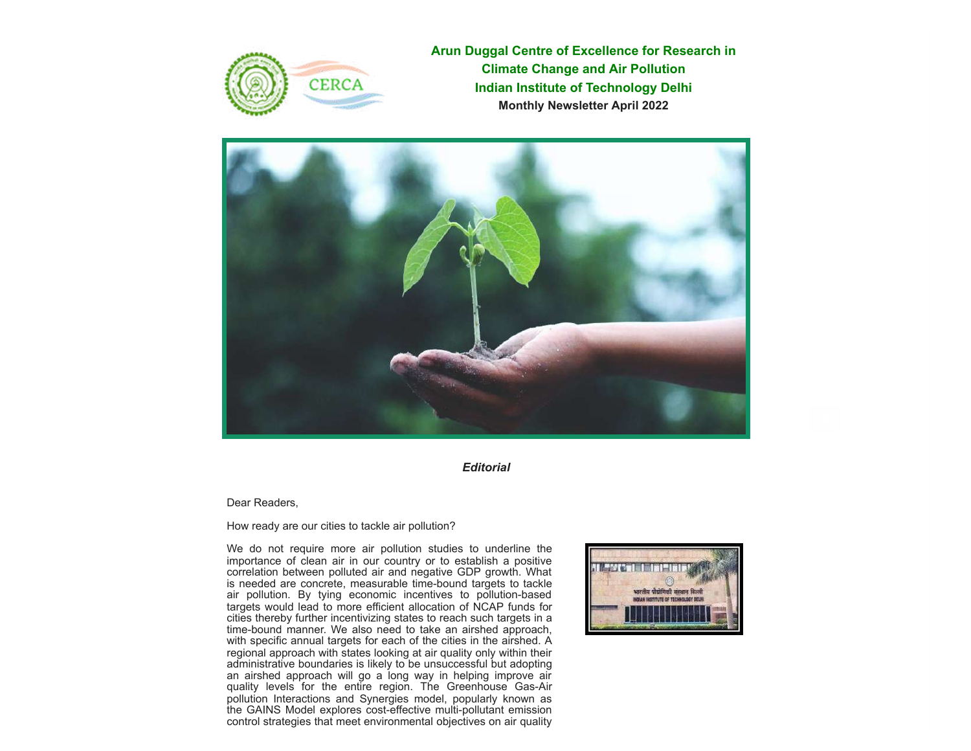**Arun Duggal Centre of Excellence for Research in Climate Change and Air Pollution Indian Institute of Technology Delhi Monthly Newsletter April 2022**



*Editorial*

Dear Readers,

How ready are our cities to tackle air pollution?

CERC

We do not require more air pollution studies to underline the importance of clean air in our country or to establish a positive correlation between polluted air and negative GDP growth. What is needed are concrete, measurable time-bound targets to tackle air pollution. By tying economic incentives to pollution-based targets would lead to more efficient allocation of NCAP funds for cities thereby further incentivizing states to reach such targets in a time-bound manner. We also need to take an airshed approach, with specific annual targets for each of the cities in the airshed. A regional approach with states looking at air quality only within their administrative boundaries is likely to be unsuccessful but adopting an airshed approach will go a long way in helping improve air quality levels for the entire region. The Greenhouse Gas-Air pollution Interactions and Synergies model, popularly known as the GAINS Model explores cost-effective multi-pollutant emission control strategies that meet environmental objectives on air quality

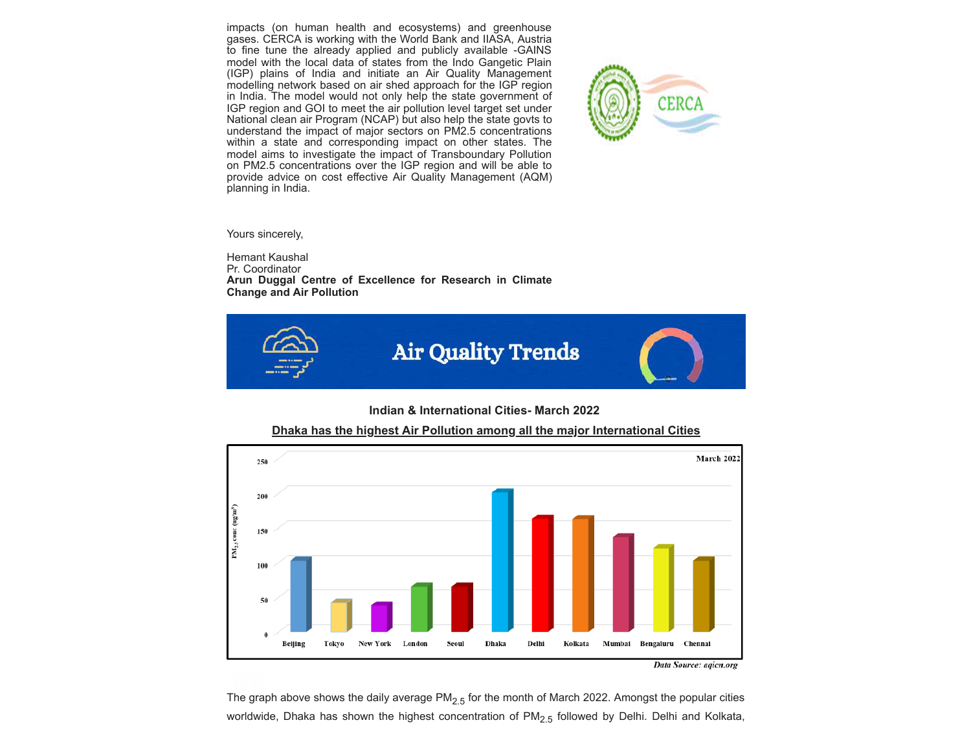impacts (on human health and ecosystems) and greenhouse gases. CERCA is working with the World Bank and IIASA, Austria to fine tune the already applied and publicly available -GAINS model with the local data of states from the Indo Gangetic Plain (IGP) plains of India and initiate an Air Quality Management modelling network based on air shed approach for the IGP region in India. The model would not only help the state government of IGP region and GOI to meet the air pollution level target set under National clean air Program (NCAP) but also help the state govts to understand the impact of major sectors on PM2.5 concentrations within a state and corresponding impact on other states. The model aims to investigate the impact of Transboundary Pollution on PM2.5 concentrations over the IGP region and will be able to provide advice on cost effective Air Quality Management (AQM) planning in India.



Yours sincerely,

Hemant Kaushal Pr. Coordinator **Arun Duggal Centre of Excellence for Research in Climate Change and Air Pollution**



#### **Indian & International Cities- March 2022**



**Dhaka has the highest Air Pollution among all the major International Cities**

The graph above shows the daily average PM<sub>2.5</sub> for the month of March 2022. Amongst the popular cities worldwide, Dhaka has shown the highest concentration of  $PM<sub>2.5</sub>$  followed by Delhi. Delhi and Kolkata,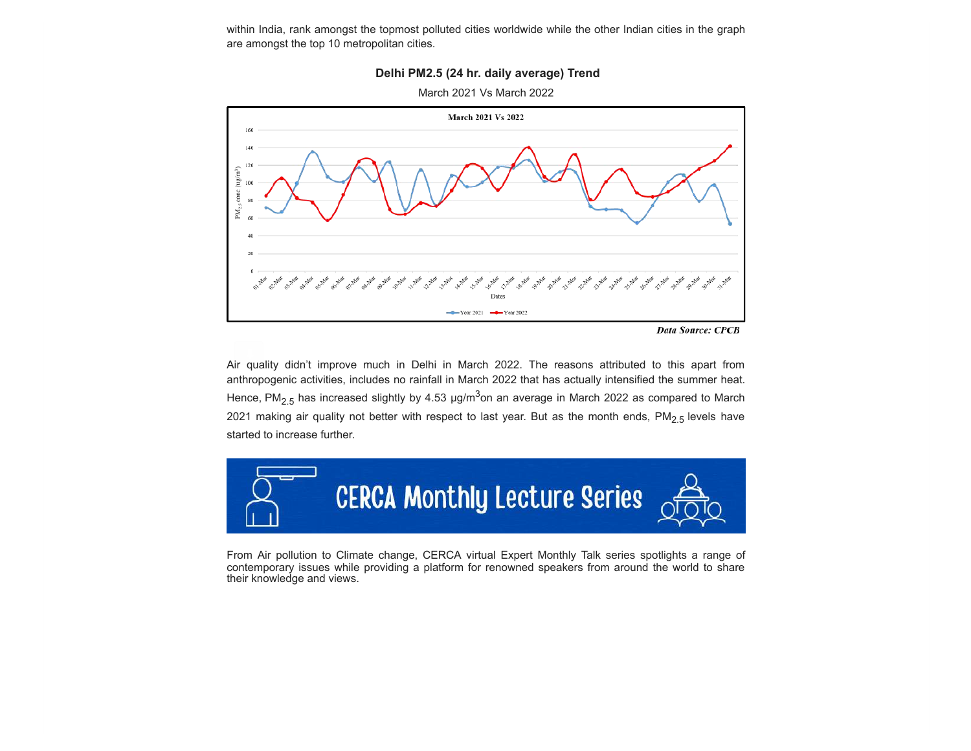within India, rank amongst the topmost polluted cities worldwide while the other Indian cities in the graph are amongst the top 10 metropolitan cities.



#### **Delhi PM2.5 (24 hr. daily average) Trend**

March 2021 Vs March 2022

**Data Source: CPCB** 

Air quality didn't improve much in Delhi in March 2022. The reasons attributed to this apart from anthropogenic activities, includes no rainfall in March 2022 that has actually intensified the summer heat. Hence, PM<sub>2.5</sub> has increased slightly by 4.53  $\mu$ g/m<sup>3</sup>on an average in March 2022 as compared to March 2021 making air quality not better with respect to last year. But as the month ends, PM<sub>2.5</sub> levels have started to increase further.



From Air pollution to Climate change, CERCA virtual Expert Monthly Talk series spotlights a range of contemporary issues while providing a platform for renowned speakers from around the world to share their knowledge and views.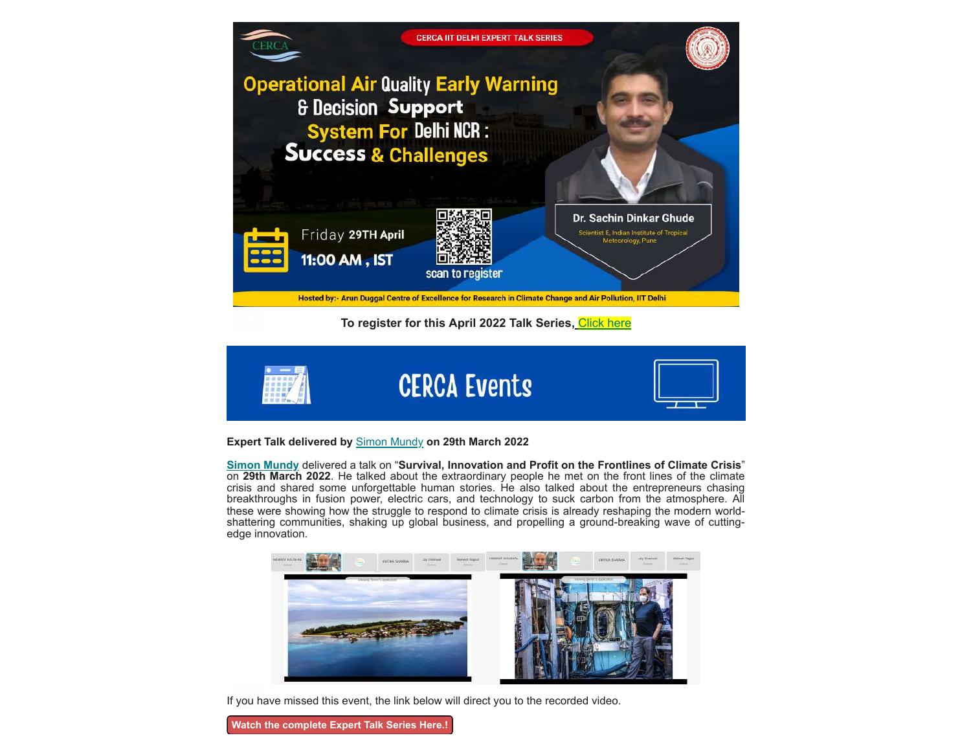

**To register for this April 2022 Talk Series,** [Click here](https://docs.google.com/forms/d/1GVt5MUxuSOpoiYGw34p8XTa7j0tKRYm2lqLUirzLjD8/edit)



#### **Expert Talk delivered by** [Simon Mundy](https://www.simonmundy.com/) **on 29th March 2022**

**[Simon Mundy](https://www.simonmundy.com/)** delivered a talk on "**Survival, Innovation and Profit on the Frontlines of Climate Crisis**" on **29th March 2022**. He talked about the extraordinary people he met on the front lines of the climate crisis and shared some unforgettable human stories. He also talked about the entrepreneurs chasing breakthroughs in fusion power, electric cars, and technology to suck carbon from the atmosphere. All these were showing how the struggle to respond to climate crisis is already reshaping the modern worldshattering communities, shaking up global business, and propelling a ground-breaking wave of cuttingedge innovation.



If you have missed this event, the link below will direct you to the recorded video.

**[Watch the complete Expert Talk Series Here.!](https://www.youtube.com/watch?v=hH2X1QU_Tic&t=2492s)**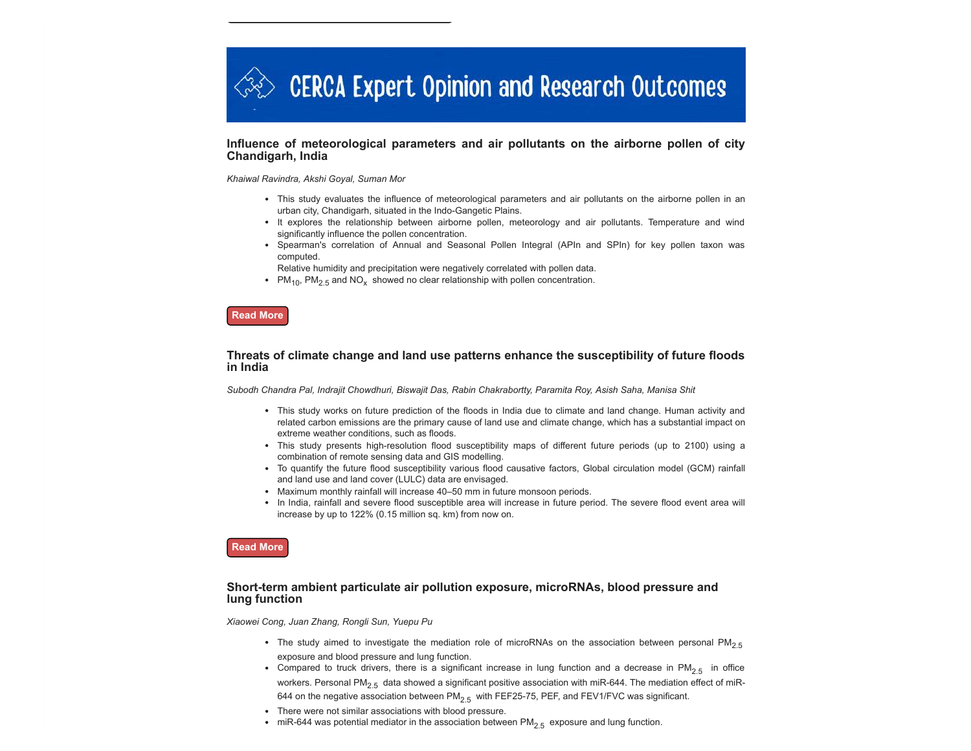

#### **Influence of meteorological parameters and air pollutants on the airborne pollen of city Chandigarh, India**

*Khaiwal Ravindra, Akshi Goyal, Suman Mor*

- This study evaluates the influence of meteorological parameters and air pollutants on the airborne pollen in an urban city, Chandigarh, situated in the Indo-Gangetic Plains.
- It explores the relationship between airborne pollen, meteorology and air pollutants. Temperature and wind significantly influence the pollen concentration.
- Spearman's correlation of Annual and Seasonal Pollen Integral (APIn and SPIn) for key pollen taxon was computed.
- Relative humidity and precipitation were negatively correlated with pollen data.
- $\textsf{PM}_{10}$ ,  $\textsf{PM}_{2.5}$  and  $\textsf{NO}_{\textsf{x}}$  showed no clear relationship with pollen concentration.

## **[Read More](https://www.sciencedirect.com/science/article/abs/pii/S0048969721069059)**

#### **Threats of climate change and land use patterns enhance the susceptibility of future floods in India**

*Subodh Chandra Pal, Indrajit Chowdhuri, Biswajit Das, Rabin Chakrabortty, Paramita Roy, Asish Saha, Manisa Shit*

- This study works on future prediction of the floods in India due to climate and land change. Human activity and related carbon emissions are the primary cause of land use and climate change, which has a substantial impact on extreme weather conditions, such as floods.
- This study presents high-resolution flood susceptibility maps of different future periods (up to 2100) using a combination of remote sensing data and GIS modelling.
- To quantify the future flood susceptibility various flood causative factors, Global circulation model (GCM) rainfall and land use and land cover (LULC) data are envisaged.
- Maximum monthly rainfall will increase 40–50 mm in future monsoon periods.
- In India, rainfall and severe flood susceptible area will increase in future period. The severe flood event area will increase by up to 122% (0.15 million sq. km) from now on.

#### **[Read More](https://www.sciencedirect.com/science/article/pii/S0301479721023793)**

#### **Short-term ambient particulate air pollution exposure, microRNAs, blood pressure and lung function**

*Xiaowei Cong, Juan Zhang, Rongli Sun, Yuepu Pu*

- The study aimed to investigate the mediation role of microRNAs on the association between personal PM<sub>2.5</sub> exposure and blood pressure and lung function.
- Compared to truck drivers, there is a significant increase in lung function and a decrease in PM $_{\rm 2.5}$  in office workers. Personal PM $_{2.5}\,$  data showed a significant positive association with miR-644. The mediation effect of miR-644 on the negative association between  $\mathsf{PM}_{2.5}\,$  with FEF25-75, PEF, and FEV1/FVC was significant.
- There were not similar associations with blood pressure.
- miR-644 was potential mediator in the association between PM $_{\rm 2.5}\,$  exposure and lung function.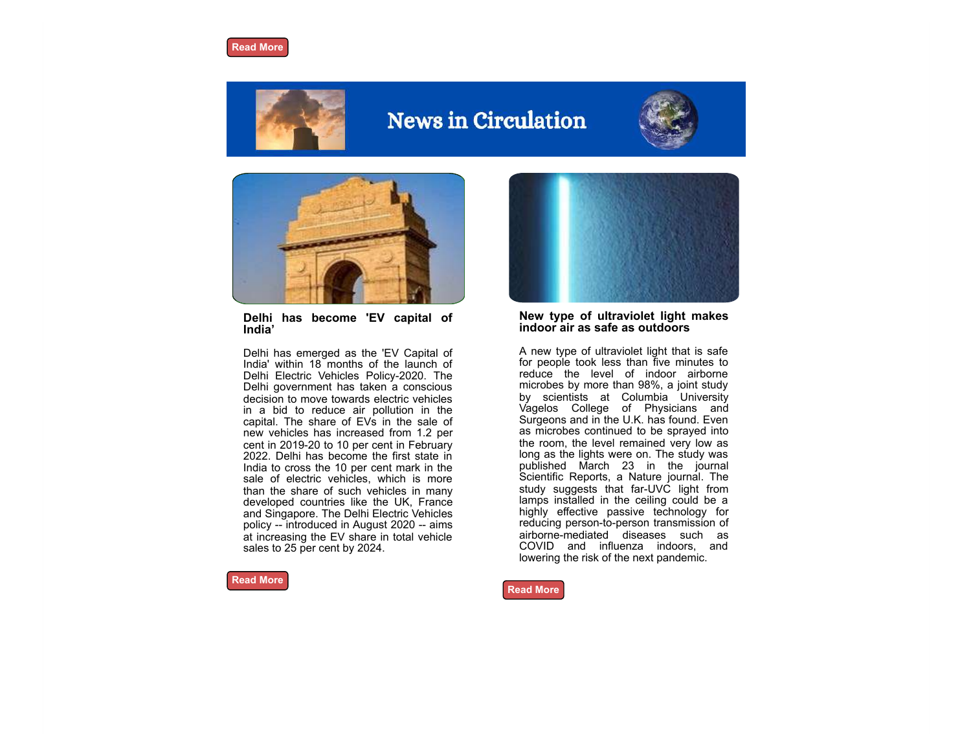### **[Read More](https://www.sciencedirect.com/science/article/pii/S0269749121019692)**



# **News in Circulation**





**Delhi has become 'EV capital of India'**

Delhi has emerged as the 'EV Capital of India' within 18 months of the launch of Delhi Electric Vehicles Policy-2020. The Delhi government has taken a conscious decision to move towards electric vehicles in a bid to reduce air pollution in the capital. The share of EVs in the sale of new vehicles has increased from 1.2 per cent in 2019-20 to 10 per cent in February 2022. Delhi has become the first state in India to cross the 10 per cent mark in the sale of electric vehicles, which is more than the share of such vehicles in many developed countries like the UK, France and Singapore. The Delhi Electric Vehicles policy -- introduced in August 2020 -- aims at increasing the EV share in total vehicle sales to 25 per cent by 2024.

**[Read More](https://www.business-standard.com/article/current-affairs/delhi-has-become-ev-capital-of-india-says-deputy-cm-manish-sisodia-122032600866_1.html)**



#### **New type of ultraviolet light makes indoor air as safe as outdoors**

A new type of ultraviolet light that is safe for people took less than five minutes to reduce the level of indoor airborne microbes by more than 98%, a joint study by scientists at Columbia University Vagelos College of Physicians and Surgeons and in the U.K. has found. Even as microbes continued to be sprayed into the room, the level remained very low as long as the lights were on. The study was published March 23 in the journal Scientific Reports, a Nature journal. The study suggests that far-UVC light from lamps installed in the ceiling could be a highly effective passive technology for reducing person-to-person transmission of airborne-mediated diseases such as COVID and influenza indoors, and lowering the risk of the next pandemic.

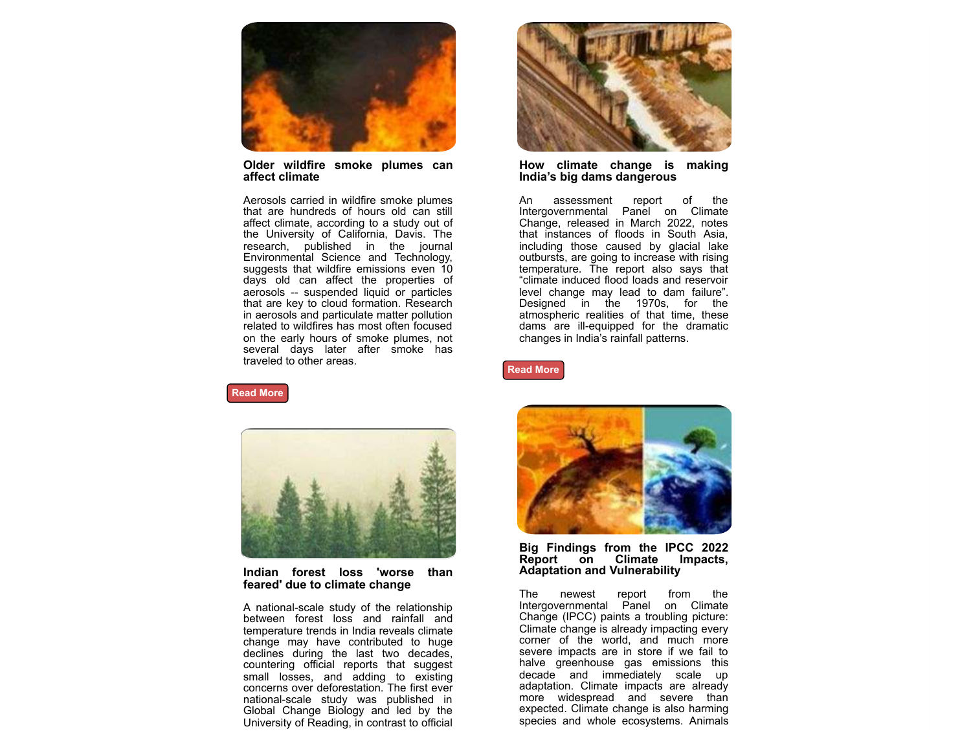

**Older wildfire smoke plumes can affect climate**

Aerosols carried in wildfire smoke plumes that are hundreds of hours old can still affect climate, according to a study out of the University of California, Davis. The research, published in the journal Environmental Science and Technology, suggests that wildfire emissions even 10 days old can affect the properties of aerosols -- suspended liquid or particles that are key to cloud formation. Research in aerosols and particulate matter pollution related to wildfires has most often focused on the early hours of smoke plumes, not several days later after smoke has traveled to other areas.



**How climate change is making India's big dams dangerous**

An assessment report of the Intergovernmental Panel on Climate Change, released in March 2022, notes that instances of floods in South Asia, including those caused by glacial lake outbursts, are going to increase with rising temperature. The report also says that "climate induced flood loads and reservoir level change may lead to dam failure". Designed in the 1970s, for the atmospheric realities of that time, these dams are ill-equipped for the dramatic changes in India's rainfall patterns.



**[Read More](https://www.sciencedaily.com/releases/2022/03/220323160659.htm)**



**Indian forest loss 'worse than feared' due to climate change**

A national-scale study of the relationship between forest loss and rainfall and temperature trends in India reveals climate change may have contributed to huge declines during the last two decades, countering official reports that suggest small losses, and adding to existing concerns over deforestation. The first ever national-scale study was published in Global Change Biology and led by the University of Reading, in contrast to official



**Big Findings from the IPCC 2022 Report on Climate Impacts, Adaptation and Vulnerability**

The newest report from the Intergovernmental Panel on Climate Change (IPCC) paints a troubling picture: Climate change is already impacting every corner of the world, and much more severe impacts are in store if we fail to halve greenhouse gas emissions this decade and immediately scale up adaptation. Climate impacts are already more widespread and severe than expected. Climate change is also harming species and whole ecosystems. Animals